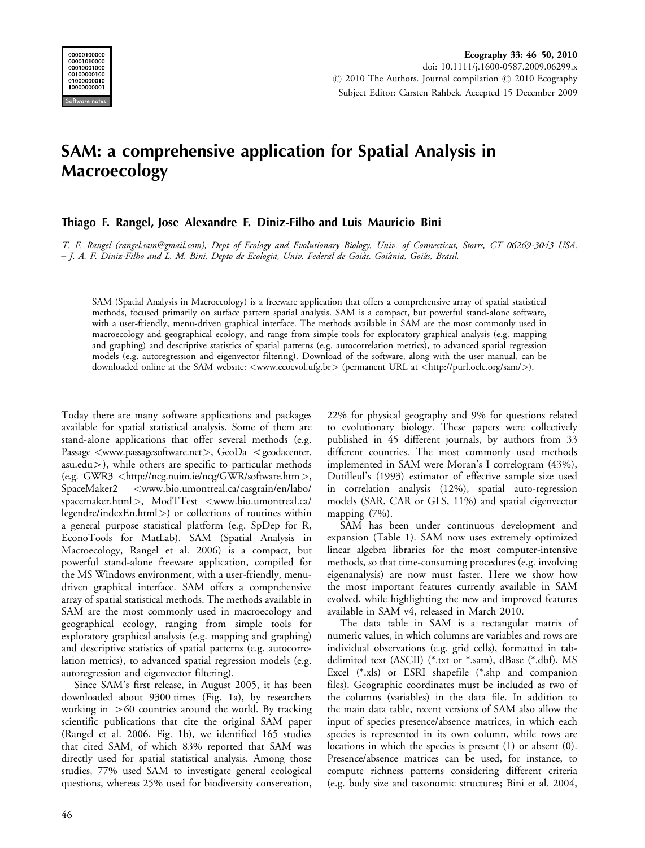

## SAM: a comprehensive application for Spatial Analysis in Macroecology

## Thiago F. Rangel, Jose Alexandre F. Diniz-Filho and Luis Mauricio Bini

T. F. Rangel (rangel.sam@gmail.com), Dept of Ecology and Evolutionary Biology, Univ. of Connecticut, Storrs, CT 06269-3043 USA. – J. A. F. Diniz-Filho and L. M. Bini, Depto de Ecologia, Univ. Federal de Goiás, Goiânia, Goiás, Brasil.

SAM (Spatial Analysis in Macroecology) is a freeware application that offers a comprehensive array of spatial statistical methods, focused primarily on surface pattern spatial analysis. SAM is a compact, but powerful stand-alone software, with a user-friendly, menu-driven graphical interface. The methods available in SAM are the most commonly used in macroecology and geographical ecology, and range from simple tools for exploratory graphical analysis (e.g. mapping and graphing) and descriptive statistics of spatial patterns (e.g. autocorrelation metrics), to advanced spatial regression models (e.g. autoregression and eigenvector filtering). Download of the software, along with the user manual, can be downloaded online at the SAM website: <www.ecoevol.ufg.br> (permanent URL at <http://purl.oclc.org/sam/>).

Today there are many software applications and packages available for spatial statistical analysis. Some of them are stand-alone applications that offer several methods (e.g. Passage <www.passagesoftware.net>, GeoDa <[geodacenter.](http://geodacenter.asu.edu) [asu.edu](http://geodacenter.asu.edu)-), while others are specific to particular methods (e.g. GWR3  $\lt$ http://ncg.nuim.ie/ncg/GWR/software.htm $>$ , SpaceMaker2 <[www.bio.umontreal.ca/casgrain/en/labo/](http://www.bio.umontreal.ca/casgrain/en/labo/spacemaker.html) spacemaker.html>, ModTTest <[www.bio.umontreal.ca/](http://www.bio.umontreal.ca/legendre/indexEn.html)  $legent$ c/indexEn.html $>$ ) or collections of routines within a general purpose statistical platform (e.g. SpDep for R, EconoTools for MatLab). SAM (Spatial Analysis in Macroecology, Rangel et al. 2006) is a compact, but powerful stand-alone freeware application, compiled for the MS Windows environment, with a user-friendly, menudriven graphical interface. SAM offers a comprehensive array of spatial statistical methods. The methods available in SAM are the most commonly used in macroecology and geographical ecology, ranging from simple tools for exploratory graphical analysis (e.g. mapping and graphing) and descriptive statistics of spatial patterns (e.g. autocorrelation metrics), to advanced spatial regression models (e.g. autoregression and eigenvector filtering).

Since SAM's first release, in August 2005, it has been downloaded about 9300 times (Fig. 1a), by researchers working in -60 countries around the world. By tracking scientific publications that cite the original SAM paper (Rangel et al. 2006, Fig. 1b), we identified 165 studies that cited SAM, of which 83% reported that SAM was directly used for spatial statistical analysis. Among those studies, 77% used SAM to investigate general ecological questions, whereas 25% used for biodiversity conservation,

22% for physical geography and 9% for questions related to evolutionary biology. These papers were collectively published in 45 different journals, by authors from 33 different countries. The most commonly used methods implemented in SAM were Moran's I correlogram (43%), Dutilleul's (1993) estimator of effective sample size used in correlation analysis (12%), spatial auto-regression models (SAR, CAR or GLS, 11%) and spatial eigenvector mapping (7%).

SAM has been under continuous development and expansion (Table 1). SAM now uses extremely optimized linear algebra libraries for the most computer-intensive methods, so that time-consuming procedures (e.g. involving eigenanalysis) are now must faster. Here we show how the most important features currently available in SAM evolved, while highlighting the new and improved features available in SAM v4, released in March 2010.

The data table in SAM is a rectangular matrix of numeric values, in which columns are variables and rows are individual observations (e.g. grid cells), formatted in tabdelimited text (ASCII) (\*.txt or \*.sam), dBase (\*.dbf), MS Excel (\*.xls) or ESRI shapefile (\*.shp and companion files). Geographic coordinates must be included as two of the columns (variables) in the data file. In addition to the main data table, recent versions of SAM also allow the input of species presence/absence matrices, in which each species is represented in its own column, while rows are locations in which the species is present (1) or absent (0). Presence/absence matrices can be used, for instance, to compute richness patterns considering different criteria (e.g. body size and taxonomic structures; Bini et al. 2004,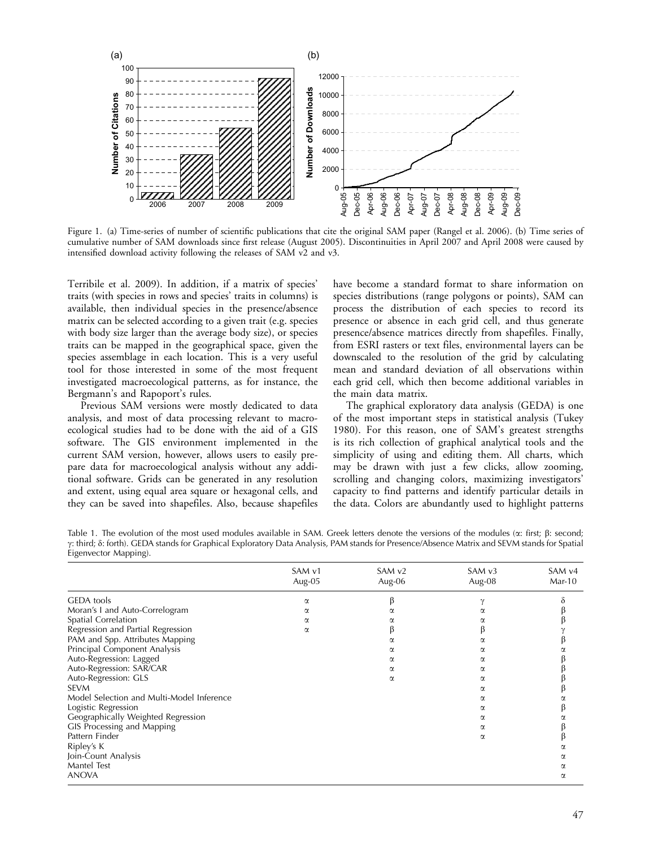

Figure 1. (a) Time-series of number of scientific publications that cite the original SAM paper (Rangel et al. 2006). (b) Time series of cumulative number of SAM downloads since first release (August 2005). Discontinuities in April 2007 and April 2008 were caused by intensified download activity following the releases of SAM v2 and v3.

Terribile et al. 2009). In addition, if a matrix of species' traits (with species in rows and species' traits in columns) is available, then individual species in the presence/absence matrix can be selected according to a given trait (e.g. species with body size larger than the average body size), or species traits can be mapped in the geographical space, given the species assemblage in each location. This is a very useful tool for those interested in some of the most frequent investigated macroecological patterns, as for instance, the Bergmann's and Rapoport's rules.

Previous SAM versions were mostly dedicated to data analysis, and most of data processing relevant to macroecological studies had to be done with the aid of a GIS software. The GIS environment implemented in the current SAM version, however, allows users to easily prepare data for macroecological analysis without any additional software. Grids can be generated in any resolution and extent, using equal area square or hexagonal cells, and they can be saved into shapefiles. Also, because shapefiles have become a standard format to share information on species distributions (range polygons or points), SAM can process the distribution of each species to record its presence or absence in each grid cell, and thus generate presence/absence matrices directly from shapefiles. Finally, from ESRI rasters or text files, environmental layers can be downscaled to the resolution of the grid by calculating mean and standard deviation of all observations within each grid cell, which then become additional variables in the main data matrix.

The graphical exploratory data analysis (GEDA) is one of the most important steps in statistical analysis (Tukey 1980). For this reason, one of SAM's greatest strengths is its rich collection of graphical analytical tools and the simplicity of using and editing them. All charts, which may be drawn with just a few clicks, allow zooming, scrolling and changing colors, maximizing investigators' capacity to find patterns and identify particular details in the data. Colors are abundantly used to highlight patterns

Table 1. The evolution of the most used modules available in SAM. Greek letters denote the versions of the modules ( $\alpha$ : first;  $\beta$ : second; g: third; d: forth). GEDA stands for Graphical Exploratory Data Analysis, PAM stands for Presence/Absence Matrix and SEVM stands for Spatial Eigenvector Mapping).

|                                           | SAM v1<br>Aug-05 | SAM <sub>v2</sub><br>Aug-06 | SAMv3<br>Aug-08 | SAM v4<br>$Mar-10$ |
|-------------------------------------------|------------------|-----------------------------|-----------------|--------------------|
|                                           |                  |                             |                 |                    |
| <b>GEDA</b> tools                         | $\alpha$         |                             |                 | δ                  |
| Moran's I and Auto-Correlogram            | α                | α                           | α               |                    |
| Spatial Correlation                       | α                |                             |                 |                    |
| Regression and Partial Regression         | $\alpha$         |                             |                 |                    |
| PAM and Spp. Attributes Mapping           |                  | α                           | α               |                    |
| Principal Component Analysis              |                  | α                           | α               |                    |
| Auto-Regression: Lagged                   |                  | α                           | α               |                    |
| Auto-Regression: SAR/CAR                  |                  | α                           | α               |                    |
| Auto-Regression: GLS                      |                  | α                           | α               |                    |
| <b>SEVM</b>                               |                  |                             | α               |                    |
| Model Selection and Multi-Model Inference |                  |                             | α               |                    |
| Logistic Regression                       |                  |                             | α               |                    |
| Geographically Weighted Regression        |                  |                             | α               |                    |
| GIS Processing and Mapping                |                  |                             | α               |                    |
| Pattern Finder                            |                  |                             | α               |                    |
| Ripley's K                                |                  |                             |                 |                    |
| Join-Count Analysis                       |                  |                             |                 |                    |
| Mantel Test                               |                  |                             |                 |                    |
| <b>ANOVA</b>                              |                  |                             |                 | α                  |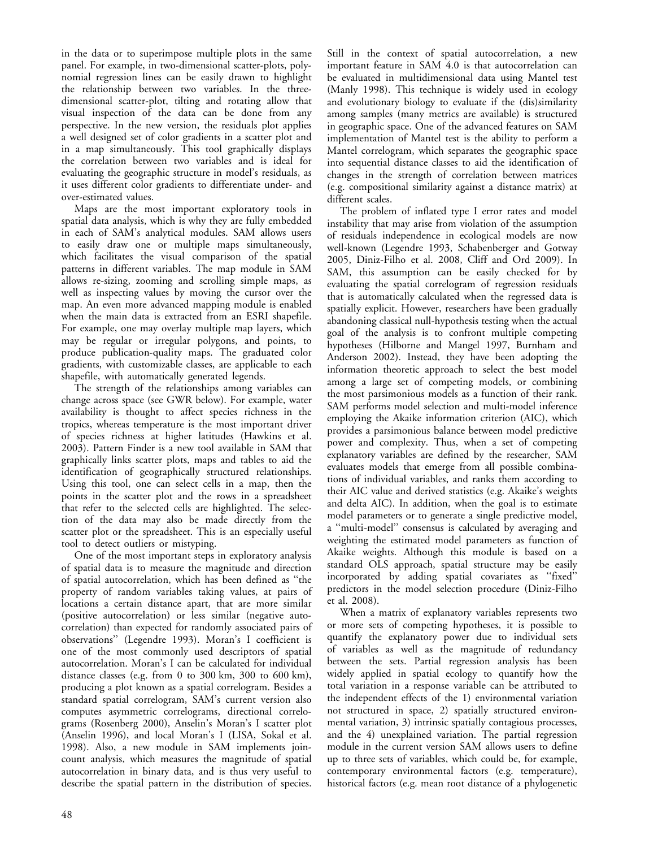in the data or to superimpose multiple plots in the same panel. For example, in two-dimensional scatter-plots, polynomial regression lines can be easily drawn to highlight the relationship between two variables. In the threedimensional scatter-plot, tilting and rotating allow that visual inspection of the data can be done from any perspective. In the new version, the residuals plot applies a well designed set of color gradients in a scatter plot and in a map simultaneously. This tool graphically displays the correlation between two variables and is ideal for evaluating the geographic structure in model's residuals, as it uses different color gradients to differentiate under- and over-estimated values.

Maps are the most important exploratory tools in spatial data analysis, which is why they are fully embedded in each of SAM's analytical modules. SAM allows users to easily draw one or multiple maps simultaneously, which facilitates the visual comparison of the spatial patterns in different variables. The map module in SAM allows re-sizing, zooming and scrolling simple maps, as well as inspecting values by moving the cursor over the map. An even more advanced mapping module is enabled when the main data is extracted from an ESRI shapefile. For example, one may overlay multiple map layers, which may be regular or irregular polygons, and points, to produce publication-quality maps. The graduated color gradients, with customizable classes, are applicable to each shapefile, with automatically generated legends.

The strength of the relationships among variables can change across space (see GWR below). For example, water availability is thought to affect species richness in the tropics, whereas temperature is the most important driver of species richness at higher latitudes (Hawkins et al. 2003). Pattern Finder is a new tool available in SAM that graphically links scatter plots, maps and tables to aid the identification of geographically structured relationships. Using this tool, one can select cells in a map, then the points in the scatter plot and the rows in a spreadsheet that refer to the selected cells are highlighted. The selection of the data may also be made directly from the scatter plot or the spreadsheet. This is an especially useful tool to detect outliers or mistyping.

One of the most important steps in exploratory analysis of spatial data is to measure the magnitude and direction of spatial autocorrelation, which has been defined as ''the property of random variables taking values, at pairs of locations a certain distance apart, that are more similar (positive autocorrelation) or less similar (negative autocorrelation) than expected for randomly associated pairs of observations'' (Legendre 1993). Moran's I coefficient is one of the most commonly used descriptors of spatial autocorrelation. Moran's I can be calculated for individual distance classes (e.g. from 0 to 300 km, 300 to 600 km), producing a plot known as a spatial correlogram. Besides a standard spatial correlogram, SAM's current version also computes asymmetric correlograms, directional correlograms (Rosenberg 2000), Anselin's Moran's I scatter plot (Anselin 1996), and local Moran's I (LISA, Sokal et al. 1998). Also, a new module in SAM implements joincount analysis, which measures the magnitude of spatial autocorrelation in binary data, and is thus very useful to describe the spatial pattern in the distribution of species.

Still in the context of spatial autocorrelation, a new important feature in SAM 4.0 is that autocorrelation can be evaluated in multidimensional data using Mantel test (Manly 1998). This technique is widely used in ecology and evolutionary biology to evaluate if the (dis)similarity among samples (many metrics are available) is structured in geographic space. One of the advanced features on SAM implementation of Mantel test is the ability to perform a Mantel correlogram, which separates the geographic space into sequential distance classes to aid the identification of changes in the strength of correlation between matrices (e.g. compositional similarity against a distance matrix) at different scales.

The problem of inflated type I error rates and model instability that may arise from violation of the assumption of residuals independence in ecological models are now well-known (Legendre 1993, Schabenberger and Gotway 2005, Diniz-Filho et al. 2008, Cliff and Ord 2009). In SAM, this assumption can be easily checked for by evaluating the spatial correlogram of regression residuals that is automatically calculated when the regressed data is spatially explicit. However, researchers have been gradually abandoning classical null-hypothesis testing when the actual goal of the analysis is to confront multiple competing hypotheses (Hilborne and Mangel 1997, Burnham and Anderson 2002). Instead, they have been adopting the information theoretic approach to select the best model among a large set of competing models, or combining the most parsimonious models as a function of their rank. SAM performs model selection and multi-model inference employing the Akaike information criterion (AIC), which provides a parsimonious balance between model predictive power and complexity. Thus, when a set of competing explanatory variables are defined by the researcher, SAM evaluates models that emerge from all possible combinations of individual variables, and ranks them according to their AIC value and derived statistics (e.g. Akaike's weights and delta AIC). In addition, when the goal is to estimate model parameters or to generate a single predictive model, a ''multi-model'' consensus is calculated by averaging and weighting the estimated model parameters as function of Akaike weights. Although this module is based on a standard OLS approach, spatial structure may be easily incorporated by adding spatial covariates as ''fixed'' predictors in the model selection procedure (Diniz-Filho et al. 2008).

When a matrix of explanatory variables represents two or more sets of competing hypotheses, it is possible to quantify the explanatory power due to individual sets of variables as well as the magnitude of redundancy between the sets. Partial regression analysis has been widely applied in spatial ecology to quantify how the total variation in a response variable can be attributed to the independent effects of the 1) environmental variation not structured in space, 2) spatially structured environmental variation, 3) intrinsic spatially contagious processes, and the 4) unexplained variation. The partial regression module in the current version SAM allows users to define up to three sets of variables, which could be, for example, contemporary environmental factors (e.g. temperature), historical factors (e.g. mean root distance of a phylogenetic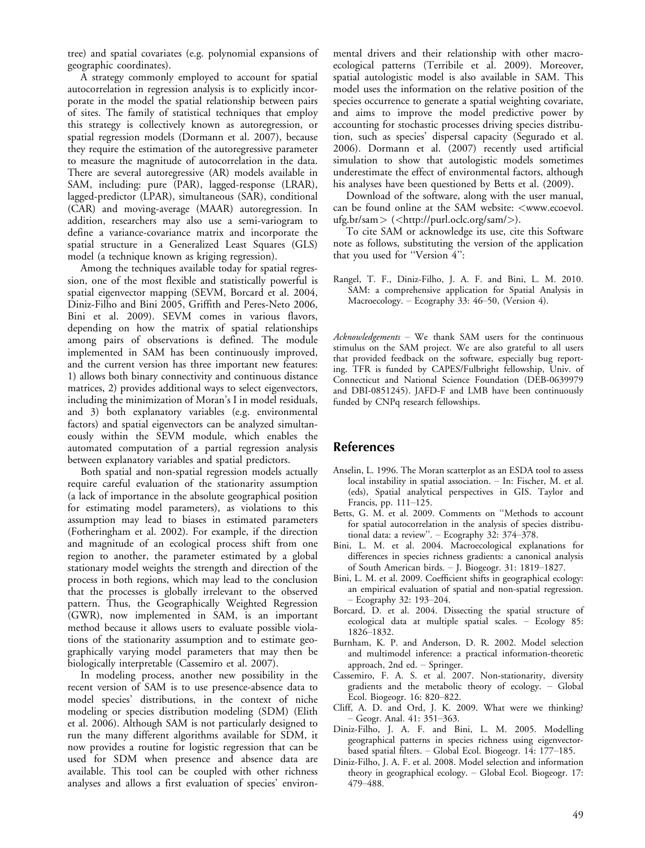tree) and spatial covariates (e.g. polynomial expansions of geographic coordinates).

A strategy commonly employed to account for spatial autocorrelation in regression analysis is to explicitly incorporate in the model the spatial relationship between pairs of sites. The family of statistical techniques that employ this strategy is collectively known as autoregression, or spatial regression models (Dormann et al. 2007), because they require the estimation of the autoregressive parameter to measure the magnitude of autocorrelation in the data. There are several autoregressive (AR) models available in SAM, including: pure (PAR), lagged-response (LRAR), lagged-predictor (LPAR), simultaneous (SAR), conditional (CAR) and moving-average (MAAR) autoregression. In addition, researchers may also use a semi-variogram to define a variance-covariance matrix and incorporate the spatial structure in a Generalized Least Squares (GLS) model (a technique known as kriging regression).

Among the techniques available today for spatial regression, one of the most flexible and statistically powerful is spatial eigenvector mapping (SEVM, Borcard et al. 2004, Diniz-Filho and Bini 2005, Griffith and Peres-Neto 2006, Bini et al. 2009). SEVM comes in various flavors, depending on how the matrix of spatial relationships among pairs of observations is defined. The module implemented in SAM has been continuously improved, and the current version has three important new features: 1) allows both binary connectivity and continuous distance matrices, 2) provides additional ways to select eigenvectors, including the minimization of Moran's I in model residuals, and 3) both explanatory variables (e.g. environmental factors) and spatial eigenvectors can be analyzed simultaneously within the SEVM module, which enables the automated computation of a partial regression analysis between explanatory variables and spatial predictors.

Both spatial and non-spatial regression models actually require careful evaluation of the stationarity assumption (a lack of importance in the absolute geographical position for estimating model parameters), as violations to this assumption may lead to biases in estimated parameters (Fotheringham et al. 2002). For example, if the direction and magnitude of an ecological process shift from one region to another, the parameter estimated by a global stationary model weights the strength and direction of the process in both regions, which may lead to the conclusion that the processes is globally irrelevant to the observed pattern. Thus, the Geographically Weighted Regression (GWR), now implemented in SAM, is an important method because it allows users to evaluate possible violations of the stationarity assumption and to estimate geographically varying model parameters that may then be biologically interpretable (Cassemiro et al. 2007).

In modeling process, another new possibility in the recent version of SAM is to use presence-absence data to model species' distributions, in the context of niche modeling or species distribution modeling (SDM) (Elith et al. 2006). Although SAM is not particularly designed to run the many different algorithms available for SDM, it now provides a routine for logistic regression that can be used for SDM when presence and absence data are available. This tool can be coupled with other richness analyses and allows a first evaluation of species' environmental drivers and their relationship with other macroecological patterns (Terribile et al. 2009). Moreover, spatial autologistic model is also available in SAM. This model uses the information on the relative position of the species occurrence to generate a spatial weighting covariate, and aims to improve the model predictive power by accounting for stochastic processes driving species distribution, such as species' dispersal capacity (Segurado et al. 2006). Dormann et al. (2007) recently used artificial simulation to show that autologistic models sometimes underestimate the effect of environmental factors, although his analyses have been questioned by Betts et al. (2009).

Download of the software, along with the user manual, can be found online at the SAM website:  $\leq$ [www.ecoevol.](http://www.ecoevol.ufg.br/sam)  $ufg.br/sam > (<$ http://purl.oclc.org/sam/ $>$ ).

To cite SAM or acknowledge its use, cite this Software note as follows, substituting the version of the application that you used for "Version 4":

Rangel, T. F., Diniz-Filho, J. A. F. and Bini, L. M. 2010. SAM: a comprehensive application for Spatial Analysis in Macroecology. – Ecography 33: 46–50, (Version 4).

 $Acknowledgements - We thank SAM users for the continuous$ stimulus on the SAM project. We are also grateful to all users that provided feedback on the software, especially bug reporting. TFR is funded by CAPES/Fulbright fellowship, Univ. of Connecticut and National Science Foundation (DEB-0639979 and DBI-0851245). JAFD-F and LMB have been continuously funded by CNPq research fellowships.

## References

- Anselin, L. 1996. The Moran scatterplot as an ESDA tool to assess local instability in spatial association. - In: Fischer, M. et al. (eds), Spatial analytical perspectives in GIS. Taylor and Francis, pp. 111-125.
- Betts, G. M. et al. 2009. Comments on ''Methods to account for spatial autocorrelation in the analysis of species distributional data: a review". - Ecography 32: 374-378.
- Bini, L. M. et al. 2004. Macroecological explanations for differences in species richness gradients: a canonical analysis of South American birds. - J. Biogeogr. 31: 1819-1827.
- Bini, L. M. et al. 2009. Coefficient shifts in geographical ecology: an empirical evaluation of spatial and non-spatial regression. - Ecography 32: 193-204.
- Borcard, D. et al. 2004. Dissecting the spatial structure of ecological data at multiple spatial scales. Ecology 85: 1826-1832.
- Burnham, K. P. and Anderson, D. R. 2002. Model selection and multimodel inference: a practical information-theoretic approach, 2nd ed. - Springer.
- Cassemiro, F. A. S. et al. 2007. Non-stationarity, diversity gradients and the metabolic theory of ecology. - Global Ecol. Biogeogr. 16: 820-822.
- Cliff, A. D. and Ord, J. K. 2009. What were we thinking? - Geogr. Anal. 41: 351-363.
- Diniz-Filho, J. A. F. and Bini, L. M. 2005. Modelling geographical patterns in species richness using eigenvectorbased spatial filters. - Global Ecol. Biogeogr. 14: 177-185.
- Diniz-Filho, J. A. F. et al. 2008. Model selection and information theory in geographical ecology. Global Ecol. Biogeogr. 17: 479 - 488.